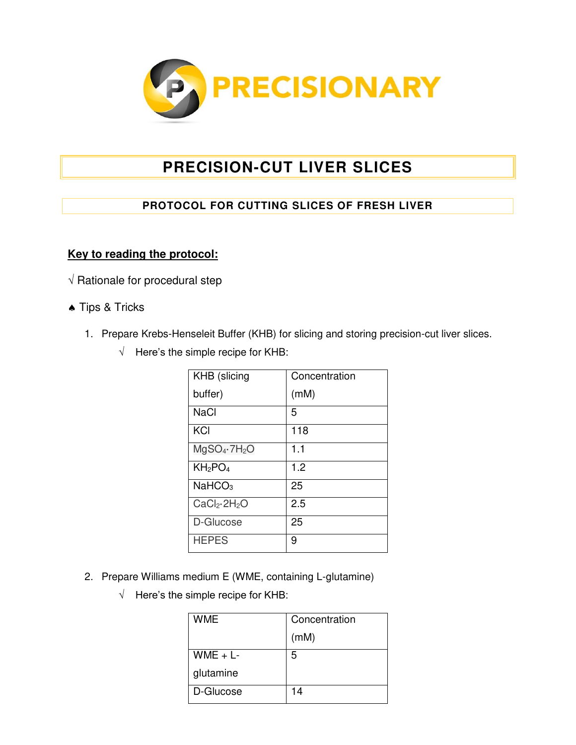

## **PRECISION-CUT LIVER SLICES**

## **PROTOCOL FOR CUTTING SLICES OF FRESH LIVER**

## **Key to reading the protocol:**

- $\sqrt{R}$  Rationale for procedural step
- ◆ Tips & Tricks
	- 1. Prepare Krebs-Henseleit Buffer (KHB) for slicing and storing precision-cut liver slices.
		- $\sqrt{\phantom{a}}$  Here's the simple recipe for KHB:

| <b>KHB</b> (slicing                  | Concentration |
|--------------------------------------|---------------|
| buffer)                              | (mM)          |
| <b>NaCl</b>                          | 5             |
| KCI                                  | 118           |
| $MgSO_4 \cdot 7H_2O$                 | 1.1           |
| KH <sub>2</sub> PO <sub>4</sub>      | 1.2           |
| NaHCO <sub>3</sub>                   | 25            |
| CaCl <sub>2</sub> ·2H <sub>2</sub> O | 2.5           |
| D-Glucose                            | 25            |
| <b>HEPES</b>                         | 9             |

- 2. Prepare Williams medium E (WME, containing L-glutamine)
	- $\sqrt{\phantom{a}}$  Here's the simple recipe for KHB:

| WME       | Concentration |
|-----------|---------------|
|           | (mM)          |
| $WME + L$ | 5             |
| glutamine |               |
| D-Glucose | 14            |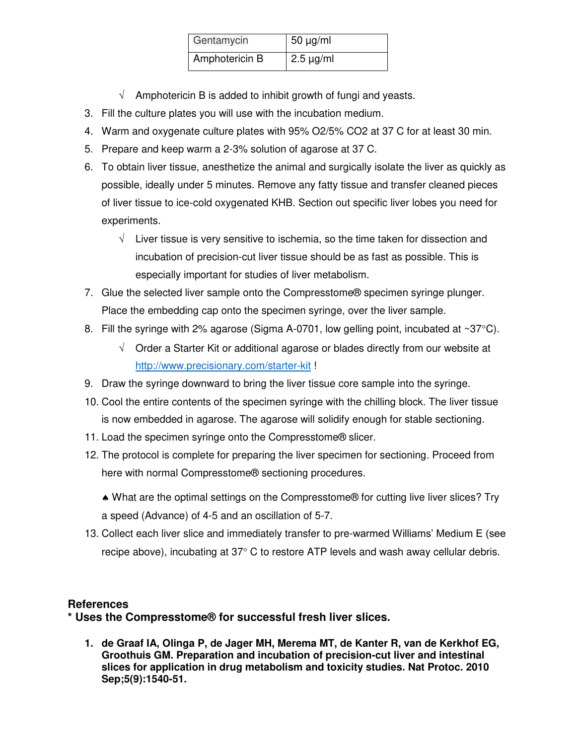| Gentamycin     | $50 \mu g/ml$  |
|----------------|----------------|
| Amphotericin B | $2.5 \mu g/ml$ |

- $\sqrt{ }$  Amphotericin B is added to inhibit growth of fungi and yeasts.
- 3. Fill the culture plates you will use with the incubation medium.
- 4. Warm and oxygenate culture plates with 95% O2/5% CO2 at 37 C for at least 30 min.
- 5. Prepare and keep warm a 2-3% solution of agarose at 37 C.
- 6. To obtain liver tissue, anesthetize the animal and surgically isolate the liver as quickly as possible, ideally under 5 minutes. Remove any fatty tissue and transfer cleaned pieces of liver tissue to ice-cold oxygenated KHB. Section out specific liver lobes you need for experiments.
	- $\sqrt{\phantom{a}}$  Liver tissue is very sensitive to ischemia, so the time taken for dissection and incubation of precision-cut liver tissue should be as fast as possible. This is especially important for studies of liver metabolism.
- 7. Glue the selected liver sample onto the Compresstome® specimen syringe plunger. Place the embedding cap onto the specimen syringe, over the liver sample.
- 8. Fill the syringe with 2% agarose (Sigma A-0701, low gelling point, incubated at  $\sim 37^{\circ}$ C).
	- $\sqrt{\phantom{a}}$  Order a Starter Kit or additional agarose or blades directly from our website at <http://www.precisionary.com/starter-kit>!
- 9. Draw the syringe downward to bring the liver tissue core sample into the syringe.
- 10. Cool the entire contents of the specimen syringe with the chilling block. The liver tissue is now embedded in agarose. The agarose will solidify enough for stable sectioning.
- 11. Load the specimen syringe onto the Compresstome® slicer.
- 12. The protocol is complete for preparing the liver specimen for sectioning. Proceed from here with normal Compresstome® sectioning procedures.
	- What are the optimal settings on the Compresstome® for cutting live liver slices? Try a speed (Advance) of 4-5 and an oscillation of 5-7.
- 13. Collect each liver slice and immediately transfer to pre-warmed Williams' Medium E (see recipe above), incubating at  $37^{\circ}$  C to restore ATP levels and wash away cellular debris.

## **References**

**\* Uses the Compresstome® for successful fresh liver slices.** 

**1. de Graaf IA, Olinga P, de Jager MH, Merema MT, de Kanter R, van de Kerkhof EG, Groothuis GM. Preparation and incubation of precision-cut liver and intestinal slices for application in drug metabolism and toxicity studies. Nat Protoc. 2010 Sep;5(9):1540-51.**